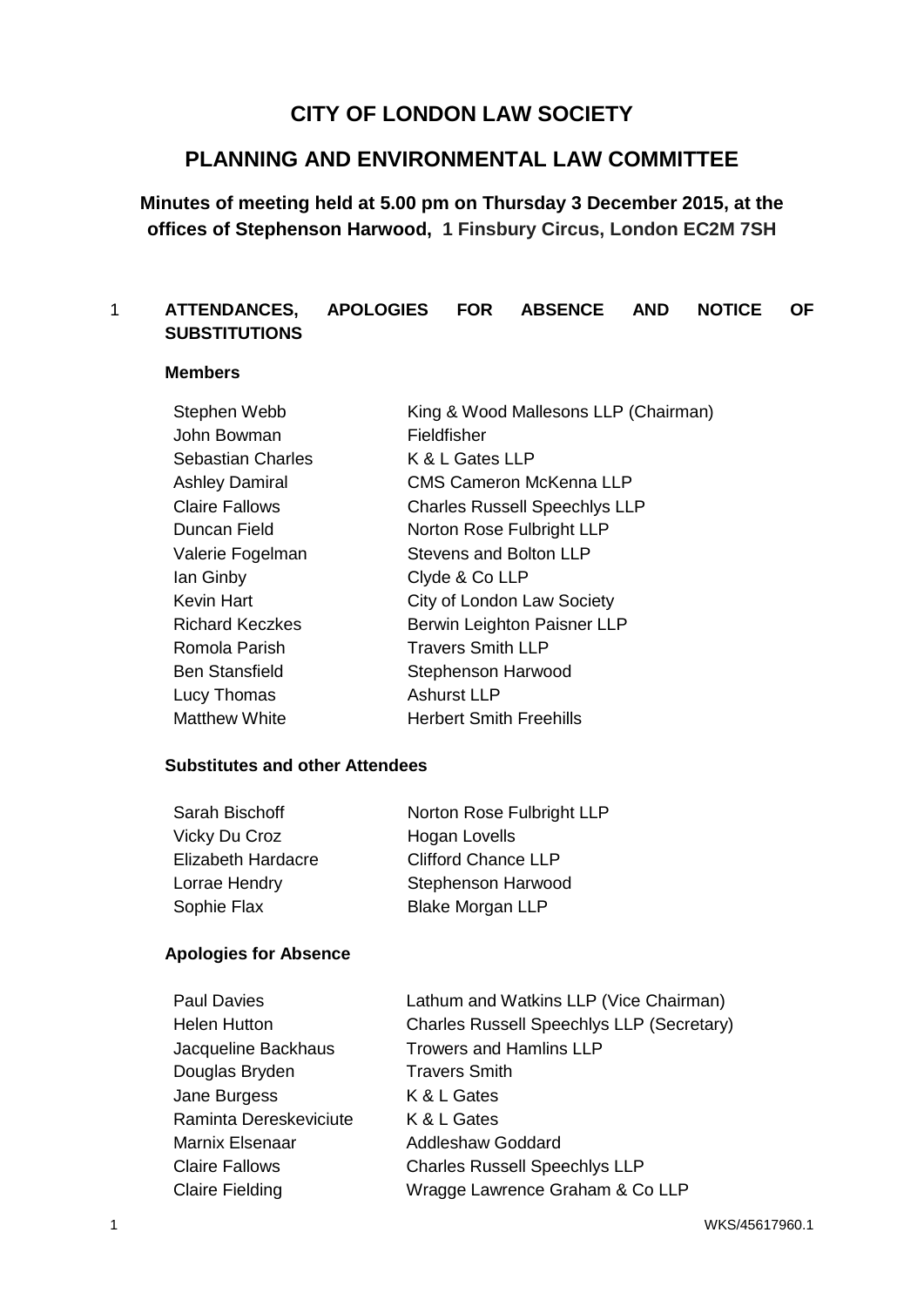# **CITY OF LONDON LAW SOCIETY**

## **PLANNING AND ENVIRONMENTAL LAW COMMITTEE**

## **Minutes of meeting held at 5.00 pm on Thursday 3 December 2015, at the offices of Stephenson Harwood, 1 Finsbury Circus, London EC2M 7SH**

## 1 **ATTENDANCES, APOLOGIES FOR ABSENCE AND NOTICE OF SUBSTITUTIONS**

#### **Members**

| Stephen Webb             | King & Wood Mallesons LLP (Chairman) |
|--------------------------|--------------------------------------|
| John Bowman              | Fieldfisher                          |
| <b>Sebastian Charles</b> | K & L Gates LLP                      |
| <b>Ashley Damiral</b>    | <b>CMS Cameron McKenna LLP</b>       |
| <b>Claire Fallows</b>    | <b>Charles Russell Speechlys LLP</b> |
| Duncan Field             | Norton Rose Fulbright LLP            |
| Valerie Fogelman         | <b>Stevens and Bolton LLP</b>        |
| lan Ginby                | Clyde & Co LLP                       |
| Kevin Hart               | City of London Law Society           |
| <b>Richard Keczkes</b>   | Berwin Leighton Paisner LLP          |
| Romola Parish            | <b>Travers Smith LLP</b>             |
| <b>Ben Stansfield</b>    | Stephenson Harwood                   |
| Lucy Thomas              | <b>Ashurst LLP</b>                   |
| <b>Matthew White</b>     | <b>Herbert Smith Freehills</b>       |

## **Substitutes and other Attendees**

| Sarah Bischoff            | Norton Rose Fulbright LLP  |
|---------------------------|----------------------------|
| Vicky Du Croz             | Hogan Lovells              |
| <b>Elizabeth Hardacre</b> | <b>Clifford Chance LLP</b> |
| Lorrae Hendry             | Stephenson Harwood         |
| Sophie Flax               | <b>Blake Morgan LLP</b>    |

#### **Apologies for Absence**

| <b>Paul Davies</b>     | Lathum and Watkins LLP (Vice Chairman)           |
|------------------------|--------------------------------------------------|
| <b>Helen Hutton</b>    | <b>Charles Russell Speechlys LLP (Secretary)</b> |
| Jacqueline Backhaus    | <b>Trowers and Hamlins LLP</b>                   |
| Douglas Bryden         | <b>Travers Smith</b>                             |
| Jane Burgess           | K & L Gates                                      |
| Raminta Dereskeviciute | K & L Gates                                      |
| <b>Marnix Elsenaar</b> | <b>Addleshaw Goddard</b>                         |
| <b>Claire Fallows</b>  | <b>Charles Russell Speechlys LLP</b>             |
| <b>Claire Fielding</b> | Wragge Lawrence Graham & Co LLP                  |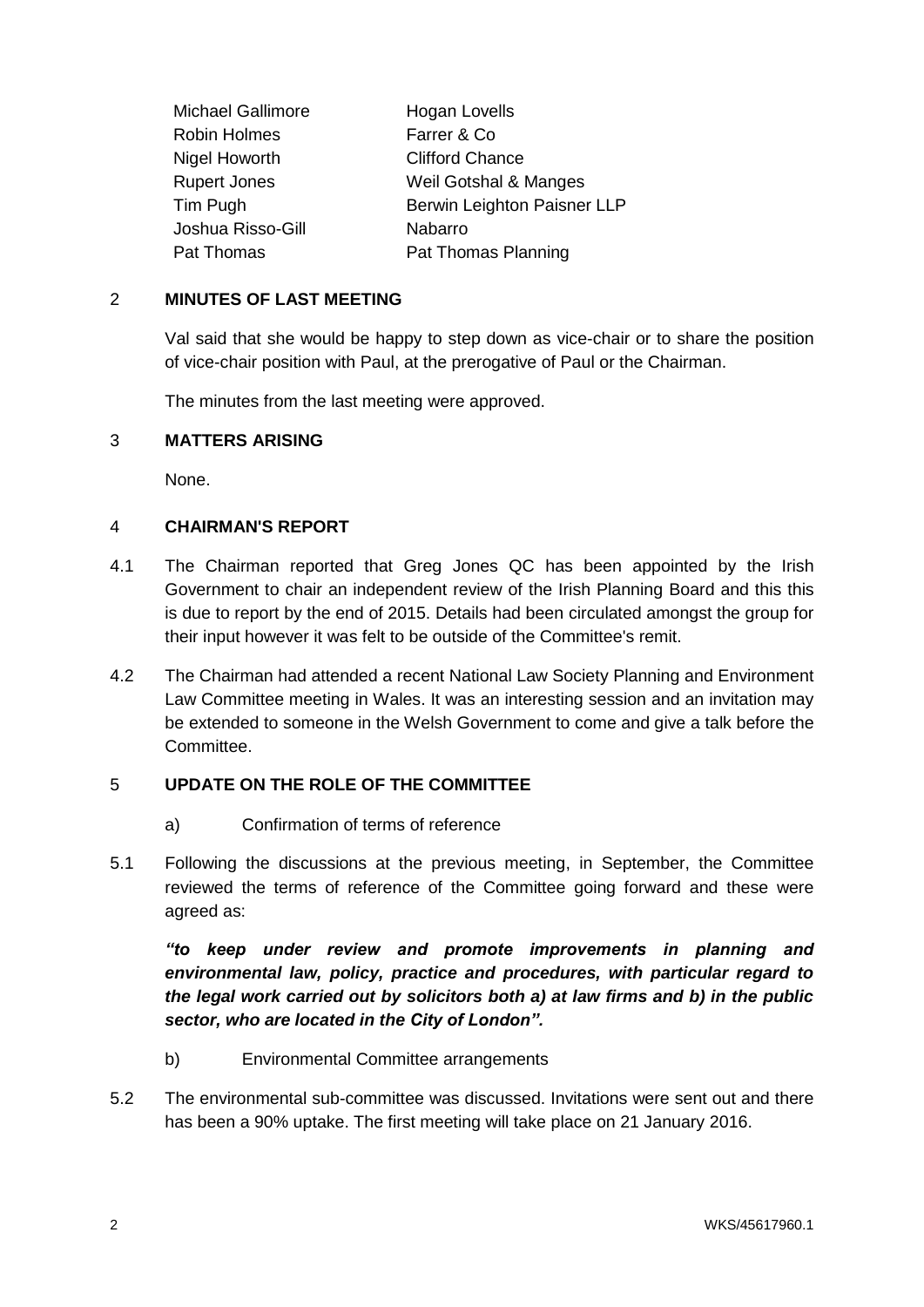| <b>Michael Gallimore</b> | Hogan Lovells               |
|--------------------------|-----------------------------|
| <b>Robin Holmes</b>      | Farrer & Co                 |
| Nigel Howorth            | <b>Clifford Chance</b>      |
| <b>Rupert Jones</b>      | Weil Gotshal & Manges       |
| Tim Pugh                 | Berwin Leighton Paisner LLP |
| Joshua Risso-Gill        | Nabarro                     |
| Pat Thomas               | Pat Thomas Planning         |

#### 2 **MINUTES OF LAST MEETING**

Val said that she would be happy to step down as vice-chair or to share the position of vice-chair position with Paul, at the prerogative of Paul or the Chairman.

The minutes from the last meeting were approved.

#### 3 **MATTERS ARISING**

None.

#### 4 **CHAIRMAN'S REPORT**

- 4.1 The Chairman reported that Greg Jones QC has been appointed by the Irish Government to chair an independent review of the Irish Planning Board and this this is due to report by the end of 2015. Details had been circulated amongst the group for their input however it was felt to be outside of the Committee's remit.
- 4.2 The Chairman had attended a recent National Law Society Planning and Environment Law Committee meeting in Wales. It was an interesting session and an invitation may be extended to someone in the Welsh Government to come and give a talk before the Committee.

#### 5 **UPDATE ON THE ROLE OF THE COMMITTEE**

- a) Confirmation of terms of reference
- 5.1 Following the discussions at the previous meeting, in September, the Committee reviewed the terms of reference of the Committee going forward and these were agreed as:

*"to keep under review and promote improvements in planning and environmental law, policy, practice and procedures, with particular regard to the legal work carried out by solicitors both a) at law firms and b) in the public sector, who are located in the City of London".*

- b) Environmental Committee arrangements
- 5.2 The environmental sub-committee was discussed. Invitations were sent out and there has been a 90% uptake. The first meeting will take place on 21 January 2016.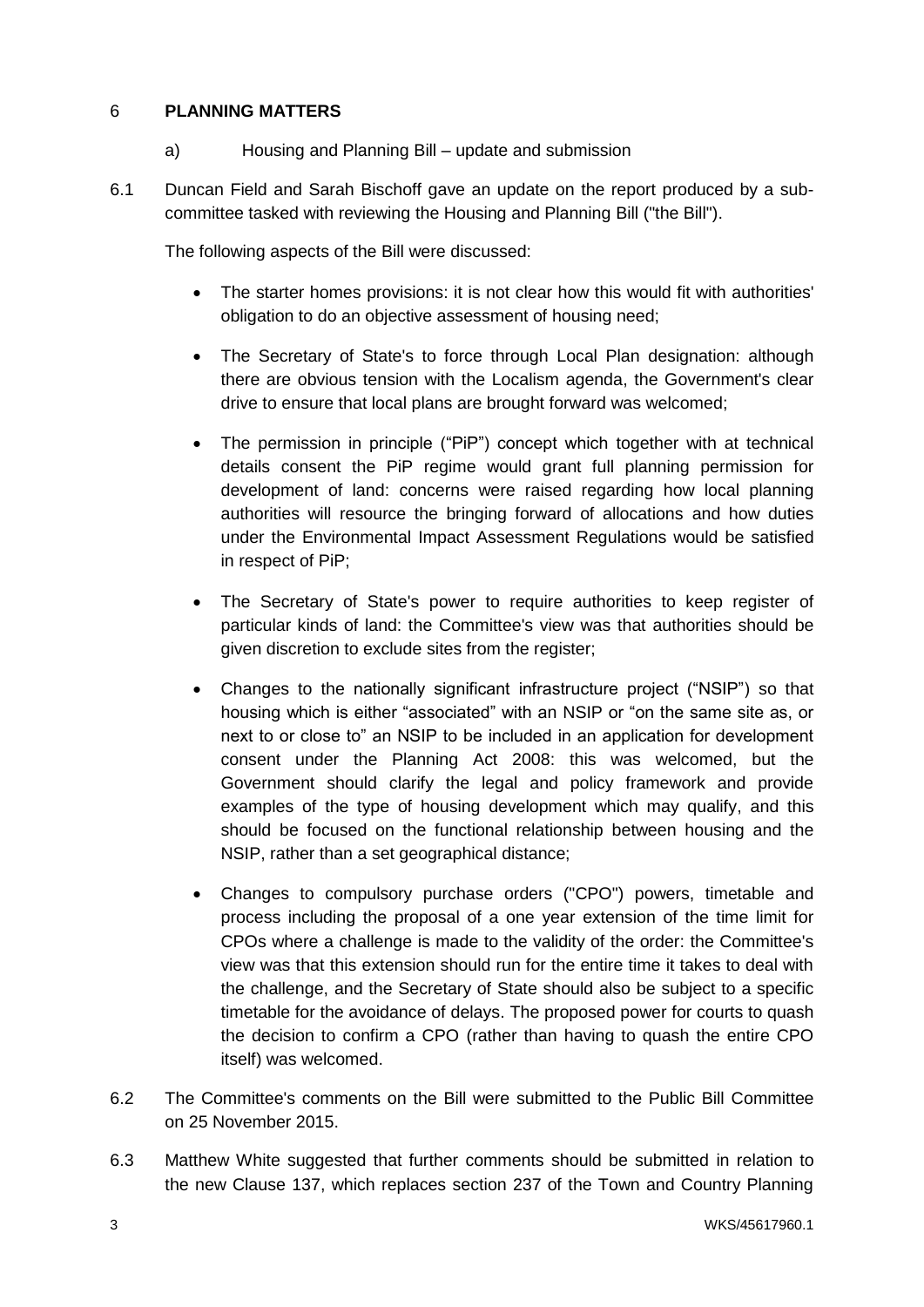## 6 **PLANNING MATTERS**

- a) Housing and Planning Bill update and submission
- 6.1 Duncan Field and Sarah Bischoff gave an update on the report produced by a subcommittee tasked with reviewing the Housing and Planning Bill ("the Bill").

The following aspects of the Bill were discussed:

- The starter homes provisions: it is not clear how this would fit with authorities' obligation to do an objective assessment of housing need;
- The Secretary of State's to force through Local Plan designation: although there are obvious tension with the Localism agenda, the Government's clear drive to ensure that local plans are brought forward was welcomed;
- The permission in principle ("PiP") concept which together with at technical details consent the PiP regime would grant full planning permission for development of land: concerns were raised regarding how local planning authorities will resource the bringing forward of allocations and how duties under the Environmental Impact Assessment Regulations would be satisfied in respect of PiP;
- The Secretary of State's power to require authorities to keep register of particular kinds of land: the Committee's view was that authorities should be given discretion to exclude sites from the register;
- Changes to the nationally significant infrastructure project ("NSIP") so that housing which is either "associated" with an NSIP or "on the same site as, or next to or close to" an NSIP to be included in an application for development consent under the Planning Act 2008: this was welcomed, but the Government should clarify the legal and policy framework and provide examples of the type of housing development which may qualify, and this should be focused on the functional relationship between housing and the NSIP, rather than a set geographical distance;
- Changes to compulsory purchase orders ("CPO") powers, timetable and process including the proposal of a one year extension of the time limit for CPOs where a challenge is made to the validity of the order: the Committee's view was that this extension should run for the entire time it takes to deal with the challenge, and the Secretary of State should also be subject to a specific timetable for the avoidance of delays. The proposed power for courts to quash the decision to confirm a CPO (rather than having to quash the entire CPO itself) was welcomed.
- 6.2 The Committee's comments on the Bill were submitted to the Public Bill Committee on 25 November 2015.
- 6.3 Matthew White suggested that further comments should be submitted in relation to the new Clause 137, which replaces section 237 of the Town and Country Planning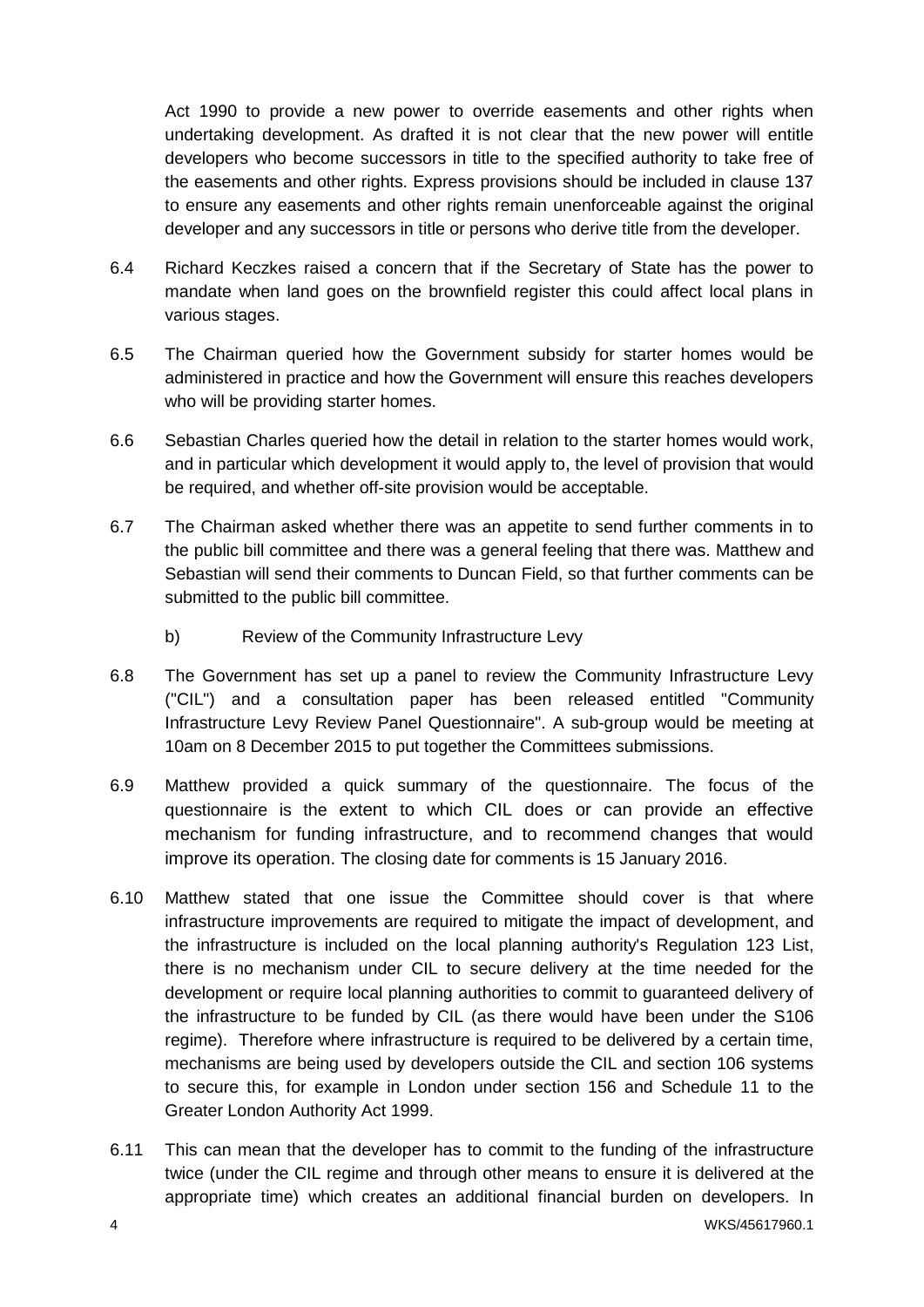Act 1990 to provide a new power to override easements and other rights when undertaking development. As drafted it is not clear that the new power will entitle developers who become successors in title to the specified authority to take free of the easements and other rights. Express provisions should be included in clause 137 to ensure any easements and other rights remain unenforceable against the original developer and any successors in title or persons who derive title from the developer.

- 6.4 Richard Keczkes raised a concern that if the Secretary of State has the power to mandate when land goes on the brownfield register this could affect local plans in various stages.
- 6.5 The Chairman queried how the Government subsidy for starter homes would be administered in practice and how the Government will ensure this reaches developers who will be providing starter homes.
- 6.6 Sebastian Charles queried how the detail in relation to the starter homes would work, and in particular which development it would apply to, the level of provision that would be required, and whether off-site provision would be acceptable.
- 6.7 The Chairman asked whether there was an appetite to send further comments in to the public bill committee and there was a general feeling that there was. Matthew and Sebastian will send their comments to Duncan Field, so that further comments can be submitted to the public bill committee.
	- b) Review of the Community Infrastructure Levy
- 6.8 The Government has set up a panel to review the Community Infrastructure Levy ("CIL") and a consultation paper has been released entitled "Community Infrastructure Levy Review Panel Questionnaire". A sub-group would be meeting at 10am on 8 December 2015 to put together the Committees submissions.
- 6.9 Matthew provided a quick summary of the questionnaire. The focus of the questionnaire is the extent to which CIL does or can provide an effective mechanism for funding infrastructure, and to recommend changes that would improve its operation. The closing date for comments is 15 January 2016.
- 6.10 Matthew stated that one issue the Committee should cover is that where infrastructure improvements are required to mitigate the impact of development, and the infrastructure is included on the local planning authority's Regulation 123 List, there is no mechanism under CIL to secure delivery at the time needed for the development or require local planning authorities to commit to guaranteed delivery of the infrastructure to be funded by CIL (as there would have been under the S106 regime). Therefore where infrastructure is required to be delivered by a certain time, mechanisms are being used by developers outside the CIL and section 106 systems to secure this, for example in London under section 156 and Schedule 11 to the Greater London Authority Act 1999.
- 6.11 This can mean that the developer has to commit to the funding of the infrastructure twice (under the CIL regime and through other means to ensure it is delivered at the appropriate time) which creates an additional financial burden on developers. In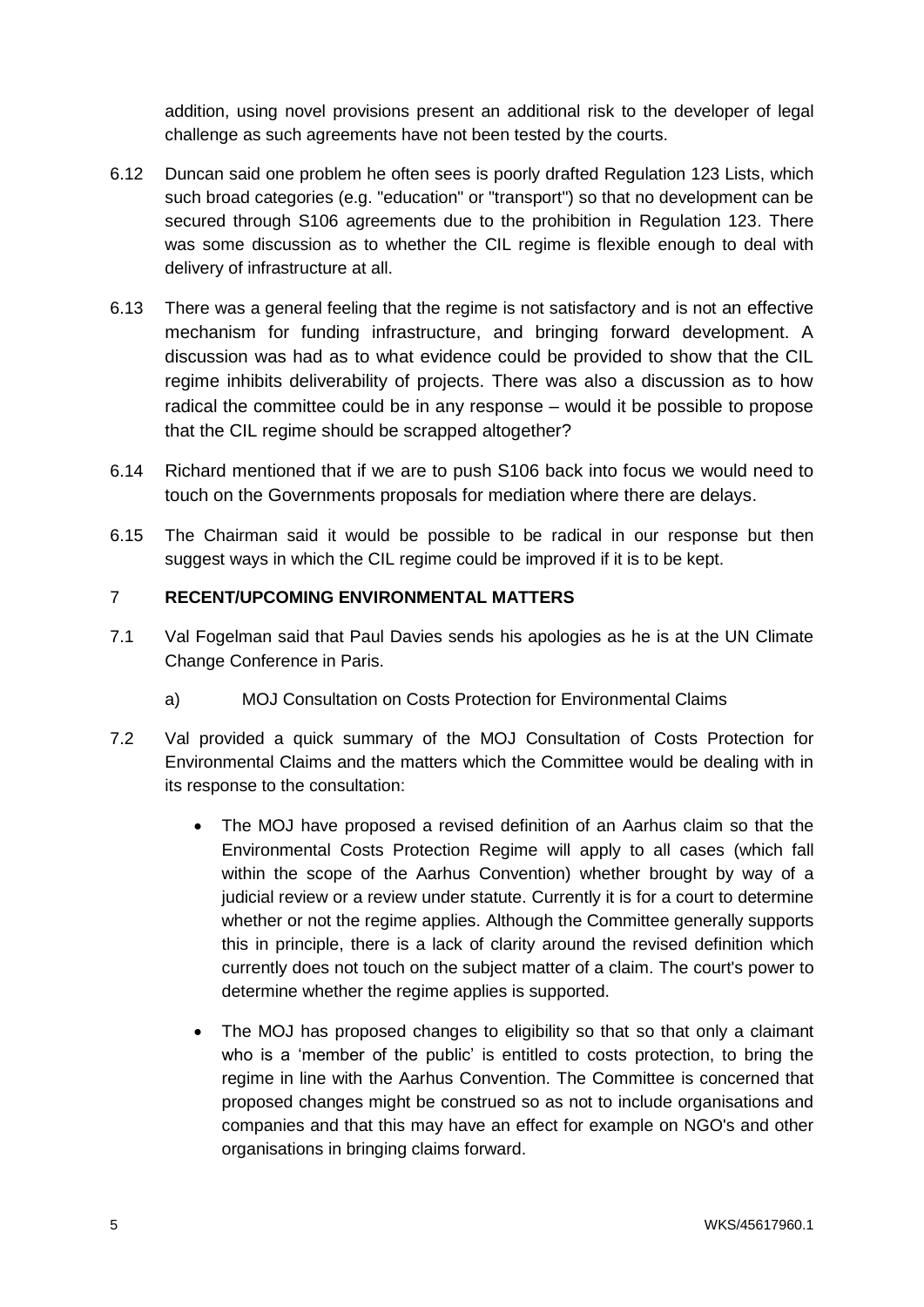addition, using novel provisions present an additional risk to the developer of legal challenge as such agreements have not been tested by the courts.

- 6.12 Duncan said one problem he often sees is poorly drafted Regulation 123 Lists, which such broad categories (e.g. "education" or "transport") so that no development can be secured through S106 agreements due to the prohibition in Regulation 123. There was some discussion as to whether the CIL regime is flexible enough to deal with delivery of infrastructure at all.
- 6.13 There was a general feeling that the regime is not satisfactory and is not an effective mechanism for funding infrastructure, and bringing forward development. A discussion was had as to what evidence could be provided to show that the CIL regime inhibits deliverability of projects. There was also a discussion as to how radical the committee could be in any response – would it be possible to propose that the CIL regime should be scrapped altogether?
- 6.14 Richard mentioned that if we are to push S106 back into focus we would need to touch on the Governments proposals for mediation where there are delays.
- 6.15 The Chairman said it would be possible to be radical in our response but then suggest ways in which the CIL regime could be improved if it is to be kept.

## 7 **RECENT/UPCOMING ENVIRONMENTAL MATTERS**

- 7.1 Val Fogelman said that Paul Davies sends his apologies as he is at the UN Climate Change Conference in Paris.
	- a) MOJ Consultation on Costs Protection for Environmental Claims
- 7.2 Val provided a quick summary of the MOJ Consultation of Costs Protection for Environmental Claims and the matters which the Committee would be dealing with in its response to the consultation:
	- The MOJ have proposed a revised definition of an Aarhus claim so that the Environmental Costs Protection Regime will apply to all cases (which fall within the scope of the Aarhus Convention) whether brought by way of a judicial review or a review under statute. Currently it is for a court to determine whether or not the regime applies. Although the Committee generally supports this in principle, there is a lack of clarity around the revised definition which currently does not touch on the subject matter of a claim. The court's power to determine whether the regime applies is supported.
	- The MOJ has proposed changes to eligibility so that so that only a claimant who is a 'member of the public' is entitled to costs protection, to bring the regime in line with the Aarhus Convention. The Committee is concerned that proposed changes might be construed so as not to include organisations and companies and that this may have an effect for example on NGO's and other organisations in bringing claims forward.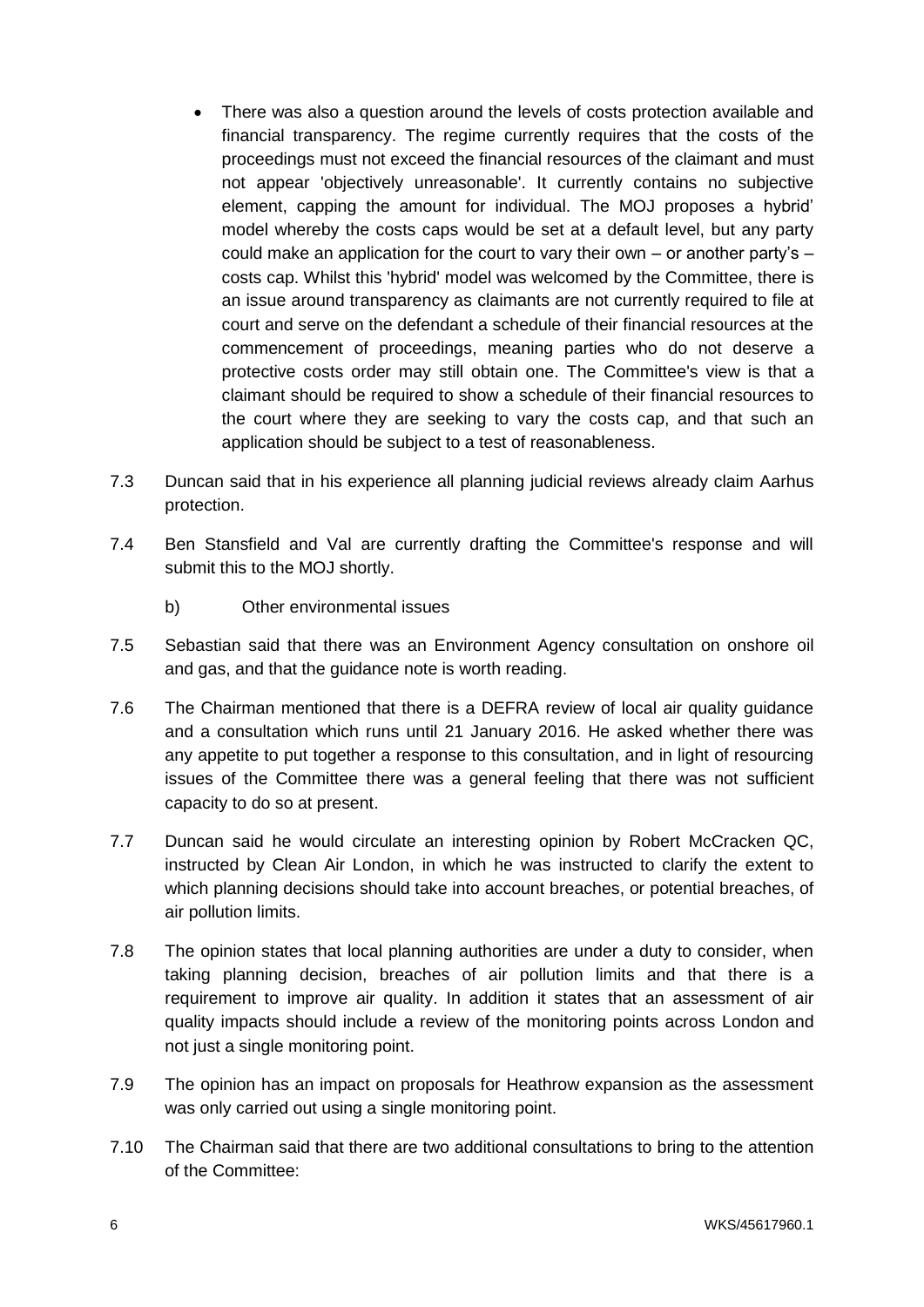- There was also a question around the levels of costs protection available and financial transparency. The regime currently requires that the costs of the proceedings must not exceed the financial resources of the claimant and must not appear 'objectively unreasonable'. It currently contains no subjective element, capping the amount for individual. The MOJ proposes a hybrid' model whereby the costs caps would be set at a default level, but any party could make an application for the court to vary their own – or another party's – costs cap. Whilst this 'hybrid' model was welcomed by the Committee, there is an issue around transparency as claimants are not currently required to file at court and serve on the defendant a schedule of their financial resources at the commencement of proceedings, meaning parties who do not deserve a protective costs order may still obtain one. The Committee's view is that a claimant should be required to show a schedule of their financial resources to the court where they are seeking to vary the costs cap, and that such an application should be subject to a test of reasonableness.
- 7.3 Duncan said that in his experience all planning judicial reviews already claim Aarhus protection.
- 7.4 Ben Stansfield and Val are currently drafting the Committee's response and will submit this to the MOJ shortly.
	- b) Other environmental issues
- 7.5 Sebastian said that there was an Environment Agency consultation on onshore oil and gas, and that the guidance note is worth reading.
- 7.6 The Chairman mentioned that there is a DEFRA review of local air quality guidance and a consultation which runs until 21 January 2016. He asked whether there was any appetite to put together a response to this consultation, and in light of resourcing issues of the Committee there was a general feeling that there was not sufficient capacity to do so at present.
- 7.7 Duncan said he would circulate an interesting opinion by Robert McCracken QC, instructed by Clean Air London, in which he was instructed to clarify the extent to which planning decisions should take into account breaches, or potential breaches, of air pollution limits.
- 7.8 The opinion states that local planning authorities are under a duty to consider, when taking planning decision, breaches of air pollution limits and that there is a requirement to improve air quality. In addition it states that an assessment of air quality impacts should include a review of the monitoring points across London and not just a single monitoring point.
- 7.9 The opinion has an impact on proposals for Heathrow expansion as the assessment was only carried out using a single monitoring point.
- 7.10 The Chairman said that there are two additional consultations to bring to the attention of the Committee: